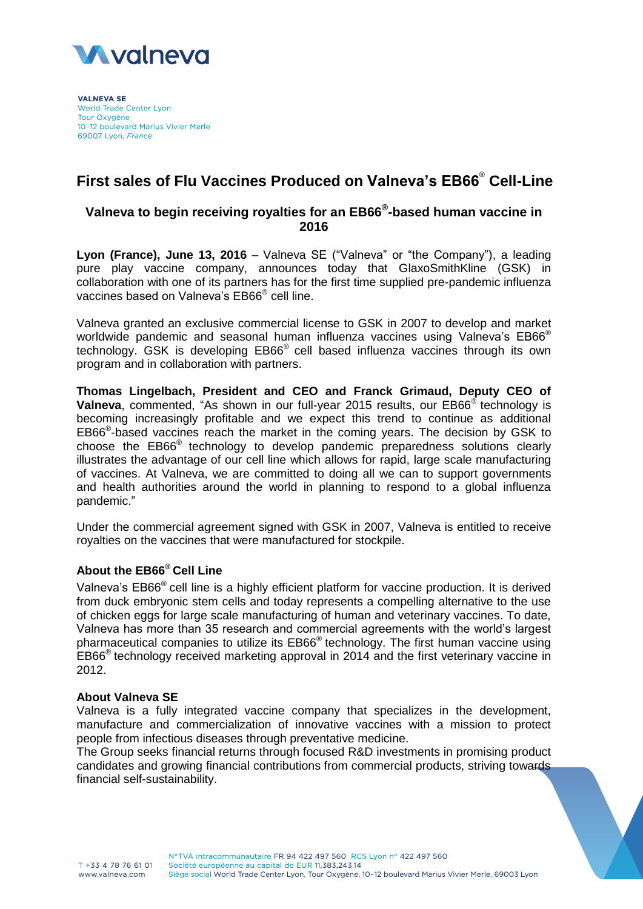

**VAI NEVA SE World Trade Center Lyon** Tour Oxygène 10-12 boulevard Marius Vivier Merle 69007 Lyon, France

# **First sales of Flu Vaccines Produced on Valneva's EB66**® **Cell-Line**

# **Valneva to begin receiving royalties for an EB66® -based human vaccine in 2016**

**Lyon (France), June 13, 2016** – Valneva SE ("Valneva" or "the Company"), a leading pure play vaccine company, announces today that GlaxoSmithKline (GSK) in collaboration with one of its partners has for the first time supplied pre-pandemic influenza vaccines based on Valneva's EB66<sup>®</sup> cell line.

Valneva granted an exclusive commercial license to GSK in 2007 to develop and market worldwide pandemic and seasonal human influenza vaccines using Valneva's EB66<sup>®</sup> technology. GSK is developing EB66<sup>®</sup> cell based influenza vaccines through its own program and in collaboration with partners.

**Thomas Lingelbach, President and CEO and Franck Grimaud, Deputy CEO of Valneva**, commented, "As shown in our full-year 2015 results, our EB66<sup>®</sup> technology is becoming increasingly profitable and we expect this trend to continue as additional EB66<sup>®</sup>-based vaccines reach the market in the coming years. The decision by GSK to choose the EB66<sup>®</sup> technology to develop pandemic preparedness solutions clearly illustrates the advantage of our cell line which allows for rapid, large scale manufacturing of vaccines. At Valneva, we are committed to doing all we can to support governments and health authorities around the world in planning to respond to a global influenza pandemic."

Under the commercial agreement signed with GSK in 2007, Valneva is entitled to receive royalties on the vaccines that were manufactured for stockpile.

## **About the EB66® Cell Line**

Valneva's EB66<sup>®</sup> cell line is a highly efficient platform for vaccine production. It is derived from duck embryonic stem cells and today represents a compelling alternative to the use of chicken eggs for large scale manufacturing of human and veterinary vaccines. To date, Valneva has more than 35 research and commercial agreements with the world's largest pharmaceutical companies to utilize its EB66<sup>®</sup> technology. The first human vaccine using  $EB66^{\circ}$  technology received marketing approval in 2014 and the first veterinary vaccine in 2012.

### **About Valneva SE**

Valneva is a fully integrated vaccine company that specializes in the development, manufacture and commercialization of innovative vaccines with a mission to protect people from infectious diseases through preventative medicine.

The Group seeks financial returns through focused R&D investments in promising product candidates and growing financial contributions from commercial products, striving towards financial self-sustainability.